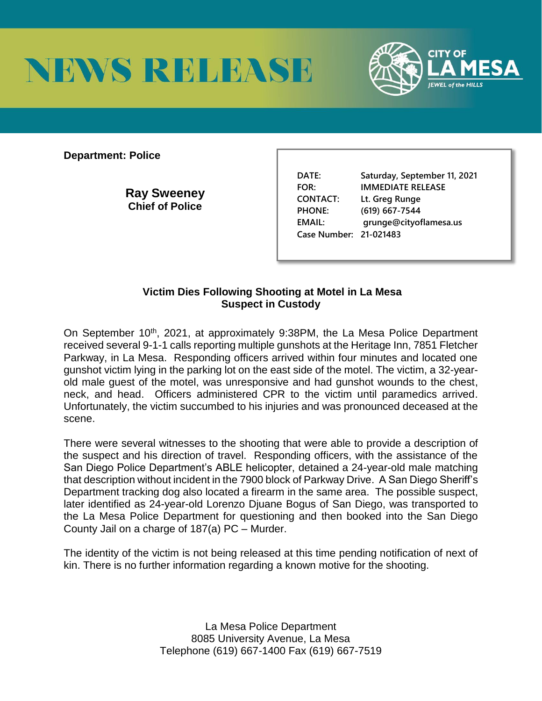



**Department: Police** 

**Ray Sweeney Chief of Police** 

**DATE: Saturday, September 11, 2021 FOR: IMMEDIATE RELEASE CONTACT: Lt. Greg Runge PHONE: (619) 667-7544 EMAIL: grunge@cityoflamesa.us Case Number: 21-021483**

## **Victim Dies Following Shooting at Motel in La Mesa Suspect in Custody**

On September 10<sup>th</sup>, 2021, at approximately 9:38PM, the La Mesa Police Department received several 9-1-1 calls reporting multiple gunshots at the Heritage Inn, 7851 Fletcher Parkway, in La Mesa. Responding officers arrived within four minutes and located one gunshot victim lying in the parking lot on the east side of the motel. The victim, a 32-yearold male guest of the motel, was unresponsive and had gunshot wounds to the chest, neck, and head. Officers administered CPR to the victim until paramedics arrived. Unfortunately, the victim succumbed to his injuries and was pronounced deceased at the scene.

There were several witnesses to the shooting that were able to provide a description of the suspect and his direction of travel. Responding officers, with the assistance of the San Diego Police Department's ABLE helicopter, detained a 24-year-old male matching that description without incident in the 7900 block of Parkway Drive. A San Diego Sheriff's Department tracking dog also located a firearm in the same area. The possible suspect, later identified as 24-year-old Lorenzo Djuane Bogus of San Diego, was transported to the La Mesa Police Department for questioning and then booked into the San Diego County Jail on a charge of 187(a) PC – Murder.

The identity of the victim is not being released at this time pending notification of next of kin. There is no further information regarding a known motive for the shooting.

> La Mesa Police Department 8085 University Avenue, La Mesa Telephone (619) 667-1400 Fax (619) 667-7519